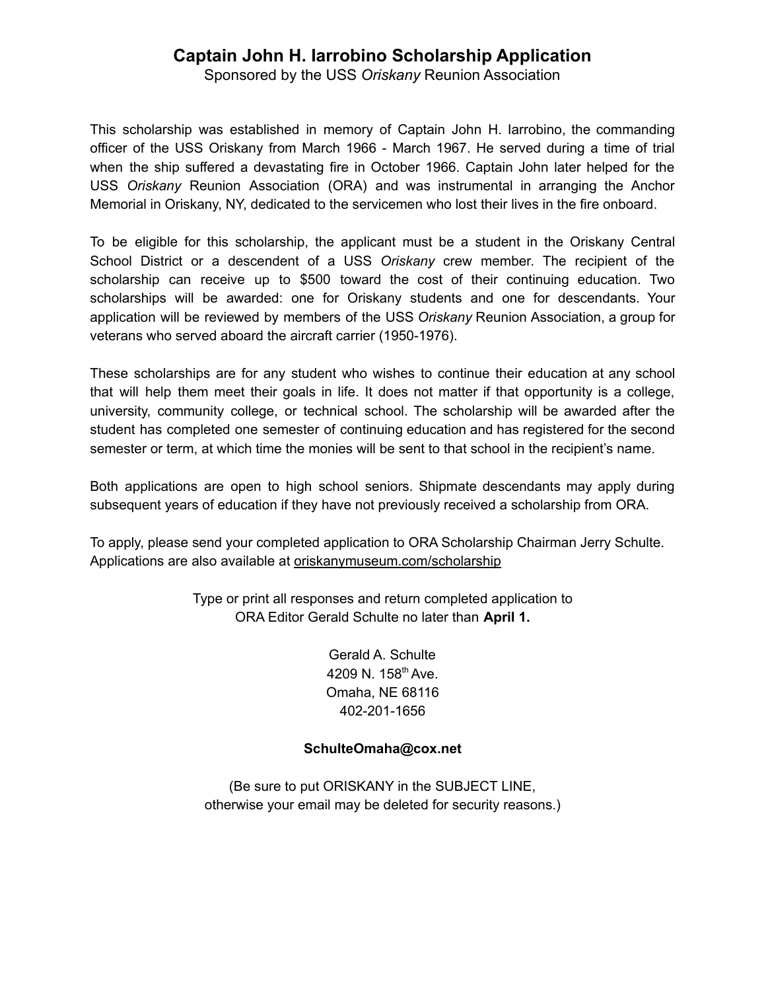## **Captain John H. Iarrobino Scholarship Application**

Sponsored by the USS *Oriskany* Reunion Association

This scholarship was established in memory of Captain John H. Iarrobino, the commanding officer of the USS Oriskany from March 1966 - March 1967. He served during a time of trial when the ship suffered a devastating fire in October 1966. Captain John later helped for the USS *Oriskany* Reunion Association (ORA) and was instrumental in arranging the Anchor Memorial in Oriskany, NY, dedicated to the servicemen who lost their lives in the fire onboard.

To be eligible for this scholarship, the applicant must be a student in the Oriskany Central School District or a descendent of a USS *Oriskany* crew member. The recipient of the scholarship can receive up to \$500 toward the cost of their continuing education. Two scholarships will be awarded: one for Oriskany students and one for descendants. Your application will be reviewed by members of the USS *Oriskany* Reunion Association, a group for veterans who served aboard the aircraft carrier (1950-1976).

These scholarships are for any student who wishes to continue their education at any school that will help them meet their goals in life. It does not matter if that opportunity is a college, university, community college, or technical school. The scholarship will be awarded after the student has completed one semester of continuing education and has registered for the second semester or term, at which time the monies will be sent to that school in the recipient's name.

Both applications are open to high school seniors. Shipmate descendants may apply during subsequent years of education if they have not previously received a scholarship from ORA.

To apply, please send your completed application to ORA Scholarship Chairman Jerry Schulte. Applications are also available at oriskanymuseum.com/scholarship

> Type or print all responses and return completed application to ORA Editor Gerald Schulte no later than **April 1.**

> > Gerald A. Schulte 4209 N. 158<sup>th</sup> Ave. Omaha, NE 68116 402-201-1656

## **SchulteOmaha@cox.net**

(Be sure to put ORISKANY in the SUBJECT LINE, otherwise your email may be deleted for security reasons.)